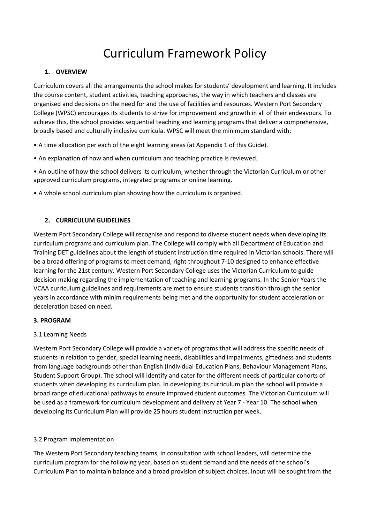# Curriculum Framework Policy

#### **1. OVERVIEW**

Curriculum covers all the arrangements the school makes for students' development and learning. It includes the course content, student activities, teaching approaches, the way in which teachers and classes are organised and decisions on the need for and the use of facilities and resources. Western Port Secondary College (WPSC) encourages its students to strive for improvement and growth in all of their endeavours. To achieve this, the school provides sequential teaching and learning programs that deliver a comprehensive, broadly based and culturally inclusive curricula. WPSC will meet the minimum standard with:

- A time allocation per each of the eight learning areas (at Appendix 1 of this Guide).
- An explanation of how and when curriculum and teaching practice is reviewed.

• An outline of how the school delivers its curriculum, whether through the Victorian Curriculum or other approved curriculum programs, integrated programs or online learning.

• A whole school curriculum plan showing how the curriculum is organized.

#### **2. CURRICULUM GUIDELINES**

Western Port Secondary College will recognise and respond to diverse student needs when developing its curriculum programs and curriculum plan. The College will comply with all Department of Education and Training DET guidelines about the length of student instruction time required in Victorian schools. There will be a broad offering of programs to meet demand, right throughout 7-10 designed to enhance effective learning for the 21st century. Western Port Secondary College uses the Victorian Curriculum to guide decision making regarding the implementation of teaching and learning programs. In the Senior Years the VCAA curriculum guidelines and requirements are met to ensure students transition through the senior years in accordance with minim requirements being met and the opportunity for student acceleration or deceleration based on need.

#### **3. PROGRAM**

#### 3.1 Learning Needs

Western Port Secondary College will provide a variety of programs that will address the specific needs of students in relation to gender, special learning needs, disabilities and impairments, giftedness and students from language backgrounds other than English (Individual Education Plans, Behaviour Management Plans, Student Support Group). The school will identify and cater for the different needs of particular cohorts of students when developing its curriculum plan. In developing its curriculum plan the school will provide a broad range of educational pathways to ensure improved student outcomes. The Victorian Curriculum will be used as a framework for curriculum development and delivery at Year 7 - Year 10. The school when developing its Curriculum Plan will provide 25 hours student instruction per week.

#### 3.2 Program Implementation

The Western Port Secondary teaching teams, in consultation with school leaders, will determine the curriculum program for the following year, based on student demand and the needs of the school's Curriculum Plan to maintain balance and a broad provision of subject choices. Input will be sought from the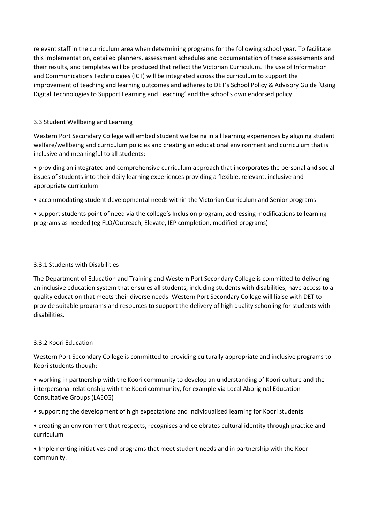relevant staff in the curriculum area when determining programs for the following school year. To facilitate this implementation, detailed planners, assessment schedules and documentation of these assessments and their results, and templates will be produced that reflect the Victorian Curriculum. The use of Information and Communications Technologies (ICT) will be integrated across the curriculum to support the improvement of teaching and learning outcomes and adheres to DET's School Policy & Advisory Guide 'Using Digital Technologies to Support Learning and Teaching' and the school's own endorsed policy.

#### 3.3 Student Wellbeing and Learning

Western Port Secondary College will embed student wellbeing in all learning experiences by aligning student welfare/wellbeing and curriculum policies and creating an educational environment and curriculum that is inclusive and meaningful to all students:

• providing an integrated and comprehensive curriculum approach that incorporates the personal and social issues of students into their daily learning experiences providing a flexible, relevant, inclusive and appropriate curriculum

• accommodating student developmental needs within the Victorian Curriculum and Senior programs

• support students point of need via the college's Inclusion program, addressing modifications to learning programs as needed (eg FLO/Outreach, Elevate, IEP completion, modified programs)

#### 3.3.1 Students with Disabilities

The Department of Education and Training and Western Port Secondary College is committed to delivering an inclusive education system that ensures all students, including students with disabilities, have access to a quality education that meets their diverse needs. Western Port Secondary College will liaise with DET to provide suitable programs and resources to support the delivery of high quality schooling for students with disabilities.

#### 3.3.2 Koori Education

Western Port Secondary College is committed to providing culturally appropriate and inclusive programs to Koori students though:

• working in partnership with the Koori community to develop an understanding of Koori culture and the interpersonal relationship with the Koori community, for example via Local Aboriginal Education Consultative Groups (LAECG)

• supporting the development of high expectations and individualised learning for Koori students

• creating an environment that respects, recognises and celebrates cultural identity through practice and curriculum

• Implementing initiatives and programs that meet student needs and in partnership with the Koori community.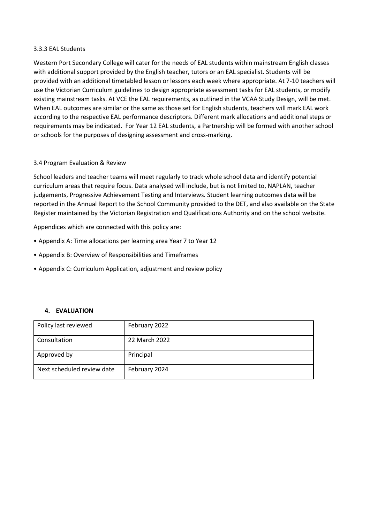#### 3.3.3 EAL Students

Western Port Secondary College will cater for the needs of EAL students within mainstream English classes with additional support provided by the English teacher, tutors or an EAL specialist. Students will be provided with an additional timetabled lesson or lessons each week where appropriate. At 7-10 teachers will use the Victorian Curriculum guidelines to design appropriate assessment tasks for EAL students, or modify existing mainstream tasks. At VCE the EAL requirements, as outlined in the VCAA Study Design, will be met. When EAL outcomes are similar or the same as those set for English students, teachers will mark EAL work according to the respective EAL performance descriptors. Different mark allocations and additional steps or requirements may be indicated. For Year 12 EAL students, a Partnership will be formed with another school or schools for the purposes of designing assessment and cross-marking.

#### 3.4 Program Evaluation & Review

School leaders and teacher teams will meet regularly to track whole school data and identify potential curriculum areas that require focus. Data analysed will include, but is not limited to, NAPLAN, teacher judgements, Progressive Achievement Testing and Interviews. Student learning outcomes data will be reported in the Annual Report to the School Community provided to the DET, and also available on the State Register maintained by the Victorian Registration and Qualifications Authority and on the school website.

Appendices which are connected with this policy are:

- Appendix A: Time allocations per learning area Year 7 to Year 12
- Appendix B: Overview of Responsibilities and Timeframes
- Appendix C: Curriculum Application, adjustment and review policy

#### **4. EVALUATION**

| Policy last reviewed       | February 2022 |
|----------------------------|---------------|
| Consultation               | 22 March 2022 |
| Approved by                | Principal     |
| Next scheduled review date | February 2024 |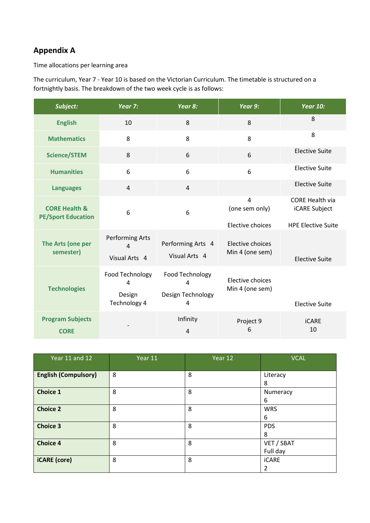### **Appendix A**

Time allocations per learning area

The curriculum, Year 7 - Year 10 is based on the Victorian Curriculum. The timetable is structured on a fortnightly basis. The breakdown of the two week cycle is as follows:

| Subject:                                              | Year 7:                                            | Year 8:                                        | Year 9:                             | <b>Year 10:</b>                                |
|-------------------------------------------------------|----------------------------------------------------|------------------------------------------------|-------------------------------------|------------------------------------------------|
| <b>English</b>                                        | 10                                                 | 8                                              | 8                                   | 8                                              |
| <b>Mathematics</b>                                    | 8                                                  | 8                                              | 8                                   | 8                                              |
| <b>Science/STEM</b>                                   | 8                                                  | 6                                              | 6                                   | <b>Elective Suite</b>                          |
| <b>Humanities</b>                                     | 6                                                  | 6                                              | 6                                   | <b>Elective Suite</b>                          |
| <b>Languages</b>                                      | 4                                                  | $\overline{4}$                                 |                                     | <b>Elective Suite</b>                          |
| <b>CORE Health &amp;</b><br><b>PE/Sport Education</b> | 6                                                  | 6                                              | $\overline{4}$<br>(one sem only)    | <b>CORE Health via</b><br><b>iCARE Subject</b> |
|                                                       |                                                    |                                                | Elective choices                    | <b>HPE Elective Suite</b>                      |
| The Arts (one per<br>semester)                        | Performing Arts<br>$\overline{4}$<br>Visual Arts 4 | Performing Arts 4<br>Visual Arts 4             | Elective choices<br>Min 4 (one sem) | <b>Elective Suite</b>                          |
| <b>Technologies</b>                                   | Food Technology<br>4<br>Design<br>Technology 4     | Food Technology<br>4<br>Design Technology<br>4 | Elective choices<br>Min 4 (one sem) | <b>Elective Suite</b>                          |
| <b>Program Subjects</b><br><b>CORE</b>                |                                                    | Infinity<br>4                                  | Project 9<br>6                      | <b>iCARE</b><br>10                             |

| Year 11 and 12              | Year 11 | Year 12 | <b>VCAL</b>            |
|-----------------------------|---------|---------|------------------------|
| <b>English (Compulsory)</b> | 8       | 8       | Literacy<br>8          |
| <b>Choice 1</b>             | 8       | 8       | Numeracy<br>6          |
| <b>Choice 2</b>             | 8       | 8       | <b>WRS</b><br>6        |
| <b>Choice 3</b>             | 8       | 8       | <b>PDS</b><br>8        |
| <b>Choice 4</b>             | 8       | 8       | VET / SBAT<br>Full day |
| <b>iCARE</b> (core)         | 8       | 8       | <b>iCARE</b><br>2      |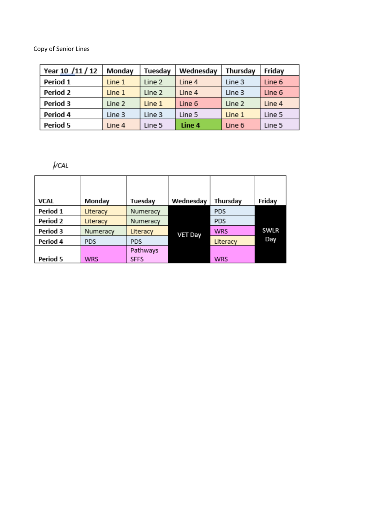Copy of Senior Lines

| Year 10 /11 / 12 | Monday | Tuesday | Wednesday | Thursday | Friday |
|------------------|--------|---------|-----------|----------|--------|
| Period 1         | Line 1 | Line 2  | Line 4    | Line 3   | Line 6 |
| Period 2         | Line 1 | Line 2  | Line 4    | Line 3   | Line 6 |
| Period 3         | Line 2 | Line 1  | Line 6    | Line 2   | Line 4 |
| Period 4         | Line 3 | Line 3  | Line 5    | Line 1   | Line 5 |
| Period 5         | Line 4 | Line 5  | Line 4    | Line 6   | Line 5 |

 $\sqrt{2}$ 

| <b>VCAL</b> | Monday     | Tuesday     | Wednesday      | Thursday   | Friday |
|-------------|------------|-------------|----------------|------------|--------|
|             |            |             |                |            |        |
| Period 1    | Literacy   | Numeracy    |                | <b>PDS</b> |        |
| Period 2    | Literacy   | Numeracy    |                | <b>PDS</b> |        |
| Period 3    | Numeracy   | Literacy    | <b>VET Day</b> | <b>WRS</b> | SWLR   |
| Period 4    | <b>PDS</b> | <b>PDS</b>  |                | Literacy   | Day    |
|             |            | Pathways    |                |            |        |
| Period 5    | WRS        | <b>SFFS</b> |                | <b>WRS</b> |        |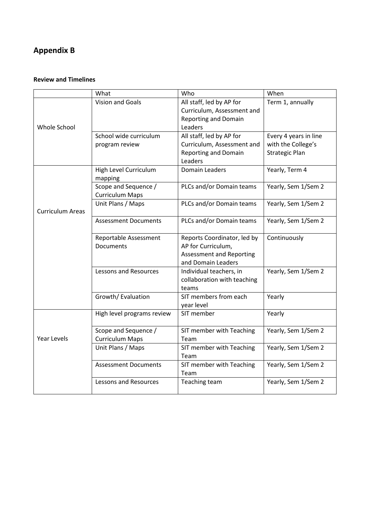## **Appendix B**

#### **Review and Timelines**

|                         | What                                           | Who                                                                                                        | When                                                                 |
|-------------------------|------------------------------------------------|------------------------------------------------------------------------------------------------------------|----------------------------------------------------------------------|
| Whole School            | Vision and Goals                               | All staff, led by AP for<br>Curriculum, Assessment and<br><b>Reporting and Domain</b><br>Leaders           | Term 1, annually                                                     |
|                         | School wide curriculum<br>program review       | All staff, led by AP for<br>Curriculum, Assessment and<br><b>Reporting and Domain</b><br>Leaders           | Every 4 years in line<br>with the College's<br><b>Strategic Plan</b> |
|                         | High Level Curriculum<br>mapping               | <b>Domain Leaders</b>                                                                                      | Yearly, Term 4                                                       |
|                         | Scope and Sequence /<br><b>Curriculum Maps</b> | PLCs and/or Domain teams                                                                                   | Yearly, Sem 1/Sem 2                                                  |
| <b>Curriculum Areas</b> | Unit Plans / Maps                              | PLCs and/or Domain teams                                                                                   | Yearly, Sem 1/Sem 2                                                  |
|                         | <b>Assessment Documents</b>                    | PLCs and/or Domain teams                                                                                   | Yearly, Sem 1/Sem 2                                                  |
|                         | Reportable Assessment<br><b>Documents</b>      | Reports Coordinator, led by<br>AP for Curriculum,<br><b>Assessment and Reporting</b><br>and Domain Leaders | Continuously                                                         |
|                         | <b>Lessons and Resources</b>                   | Individual teachers, in<br>collaboration with teaching<br>teams                                            | Yearly, Sem 1/Sem 2                                                  |
|                         | Growth/ Evaluation                             | SIT members from each<br>year level                                                                        | Yearly                                                               |
|                         | High level programs review                     | SIT member                                                                                                 | Yearly                                                               |
| <b>Year Levels</b>      | Scope and Sequence /<br><b>Curriculum Maps</b> | SIT member with Teaching<br>Team                                                                           | Yearly, Sem 1/Sem 2                                                  |
|                         | Unit Plans / Maps                              | SIT member with Teaching<br>Team                                                                           | Yearly, Sem 1/Sem 2                                                  |
|                         | <b>Assessment Documents</b>                    | SIT member with Teaching<br>Team                                                                           | Yearly, Sem 1/Sem 2                                                  |
|                         | <b>Lessons and Resources</b>                   | Teaching team                                                                                              | Yearly, Sem 1/Sem 2                                                  |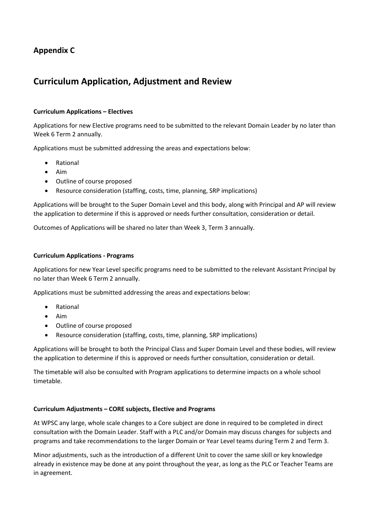### **Appendix C**

### **Curriculum Application, Adjustment and Review**

#### **Curriculum Applications – Electives**

Applications for new Elective programs need to be submitted to the relevant Domain Leader by no later than Week 6 Term 2 annually.

Applications must be submitted addressing the areas and expectations below:

- Rational
- Aim
- Outline of course proposed
- Resource consideration (staffing, costs, time, planning, SRP implications)

Applications will be brought to the Super Domain Level and this body, along with Principal and AP will review the application to determine if this is approved or needs further consultation, consideration or detail.

Outcomes of Applications will be shared no later than Week 3, Term 3 annually.

#### **Curriculum Applications - Programs**

Applications for new Year Level specific programs need to be submitted to the relevant Assistant Principal by no later than Week 6 Term 2 annually.

Applications must be submitted addressing the areas and expectations below:

- Rational
- Aim
- Outline of course proposed
- Resource consideration (staffing, costs, time, planning, SRP implications)

Applications will be brought to both the Principal Class and Super Domain Level and these bodies, will review the application to determine if this is approved or needs further consultation, consideration or detail.

The timetable will also be consulted with Program applications to determine impacts on a whole school timetable.

#### **Curriculum Adjustments – CORE subjects, Elective and Programs**

At WPSC any large, whole scale changes to a Core subject are done in required to be completed in direct consultation with the Domain Leader. Staff with a PLC and/or Domain may discuss changes for subjects and programs and take recommendations to the larger Domain or Year Level teams during Term 2 and Term 3.

Minor adjustments, such as the introduction of a different Unit to cover the same skill or key knowledge already in existence may be done at any point throughout the year, as long as the PLC or Teacher Teams are in agreement.